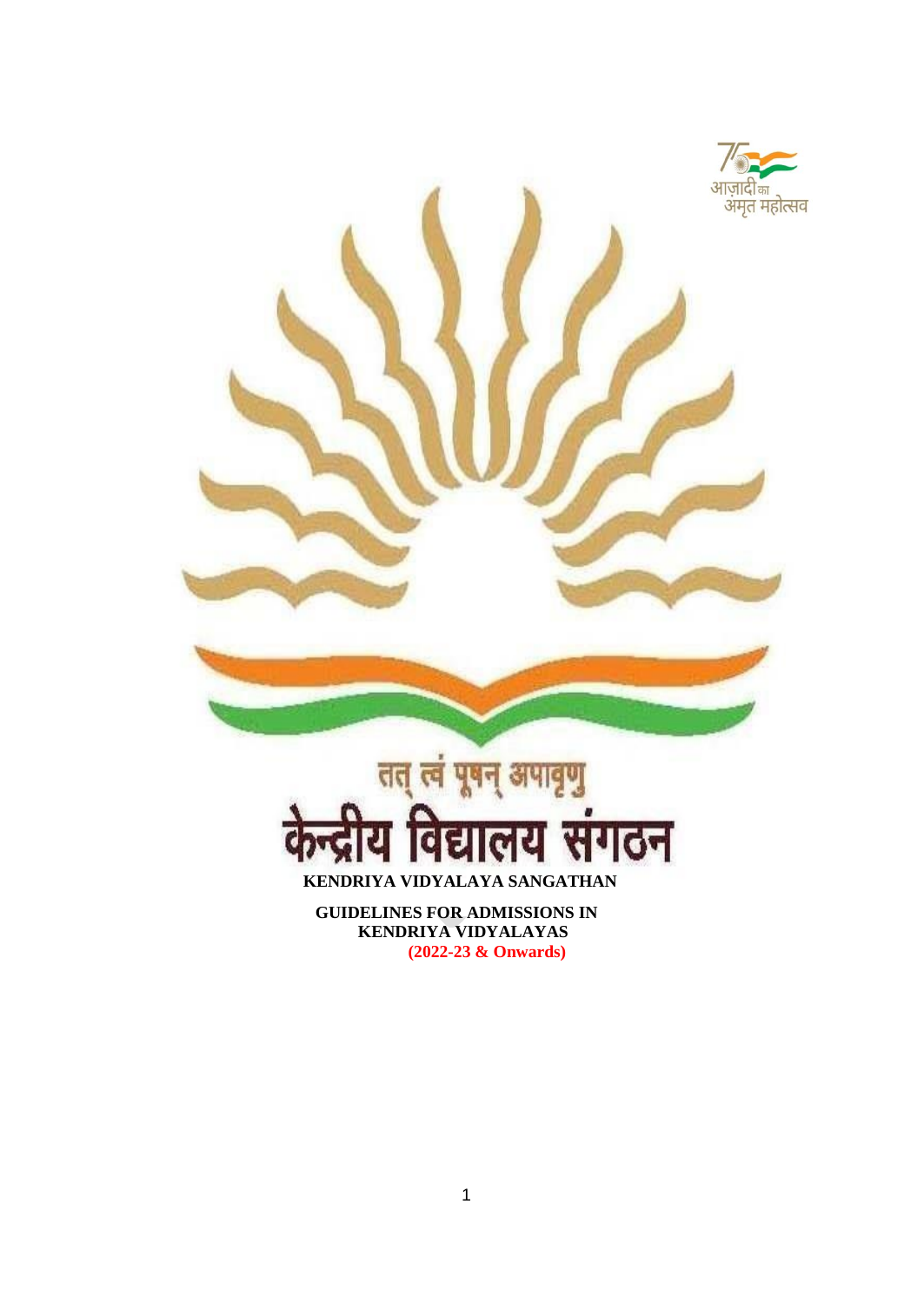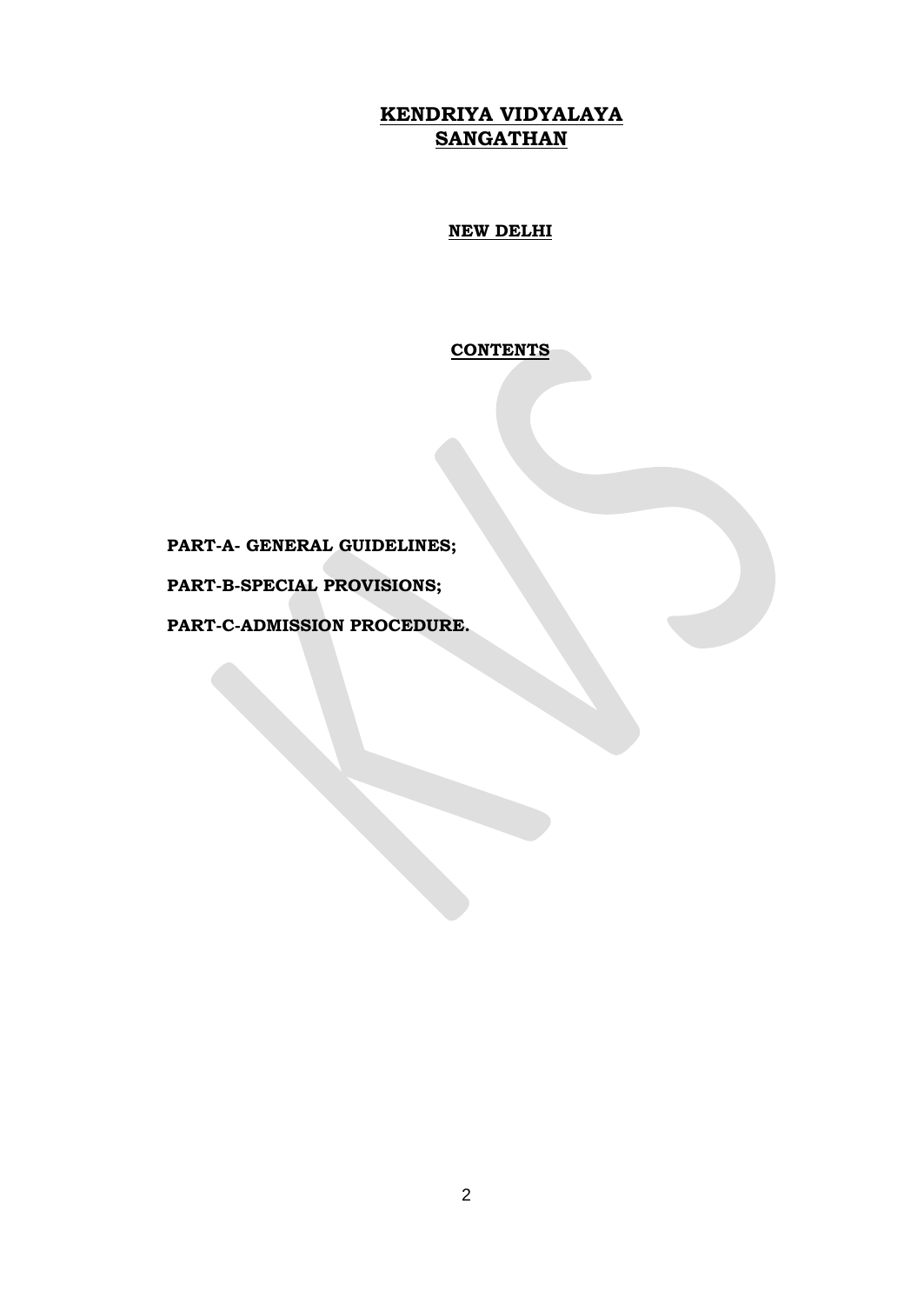# **KENDRIYA VIDYALAYA SANGATHAN**

**NEW DELHI**

**CONTENTS**

**PART-A- GENERAL GUIDELINES;** 

**PART-B-SPECIAL PROVISIONS;** 

**PART-C-ADMISSION PROCEDURE.**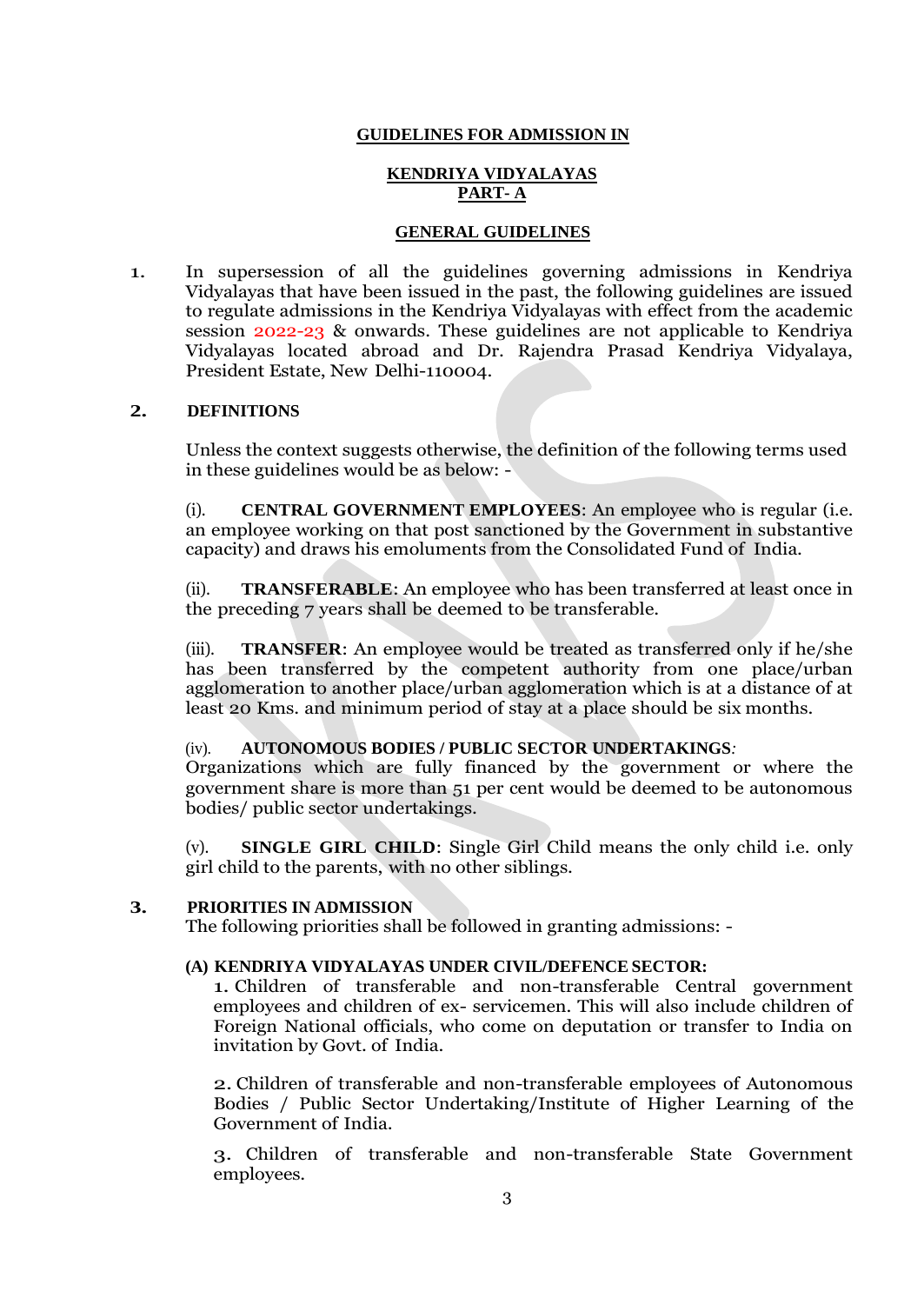### **GUIDELINES FOR ADMISSION IN**

### **KENDRIYA VIDYALAYAS PART- A**

#### **GENERAL GUIDELINES**

1. In supersession of all the guidelines governing admissions in Kendriya Vidyalayas that have been issued in the past, the following guidelines are issued to regulate admissions in the Kendriya Vidyalayas with effect from the academic session 2022-23 & onwards. These guidelines are not applicable to Kendriya Vidyalayas located abroad and Dr. Rajendra Prasad Kendriya Vidyalaya, President Estate, New Delhi-110004.

#### **2. DEFINITIONS**

Unless the context suggests otherwise, the definition of the following terms used in these guidelines would be as below: -

(i). **CENTRAL GOVERNMENT EMPLOYEES**: An employee who is regular (i.e. an employee working on that post sanctioned by the Government in substantive capacity) and draws his emoluments from the Consolidated Fund of India.

(ii). **TRANSFERABLE**: An employee who has been transferred at least once in the preceding 7 years shall be deemed to be transferable.

(iii). **TRANSFER**: An employee would be treated as transferred only if he/she has been transferred by the competent authority from one place/urban agglomeration to another place/urban agglomeration which is at a distance of at least 20 Kms. and minimum period of stay at a place should be six months.

#### (iv). **AUTONOMOUS BODIES / PUBLIC SECTOR UNDERTAKINGS***:*

Organizations which are fully financed by the government or where the government share is more than 51 per cent would be deemed to be autonomous bodies/ public sector undertakings.

(v). **SINGLE GIRL CHILD**: Single Girl Child means the only child i.e. only girl child to the parents, with no other siblings.

#### **3. PRIORITIES IN ADMISSION**

The following priorities shall be followed in granting admissions: -

### **(A) KENDRIYA VIDYALAYAS UNDER CIVIL/DEFENCE SECTOR:**

1. Children of transferable and non-transferable Central government employees and children of ex- servicemen. This will also include children of Foreign National officials, who come on deputation or transfer to India on invitation by Govt. of India.

2. Children of transferable and non-transferable employees of Autonomous Bodies / Public Sector Undertaking/Institute of Higher Learning of the Government of India.

3. Children of transferable and non-transferable State Government employees.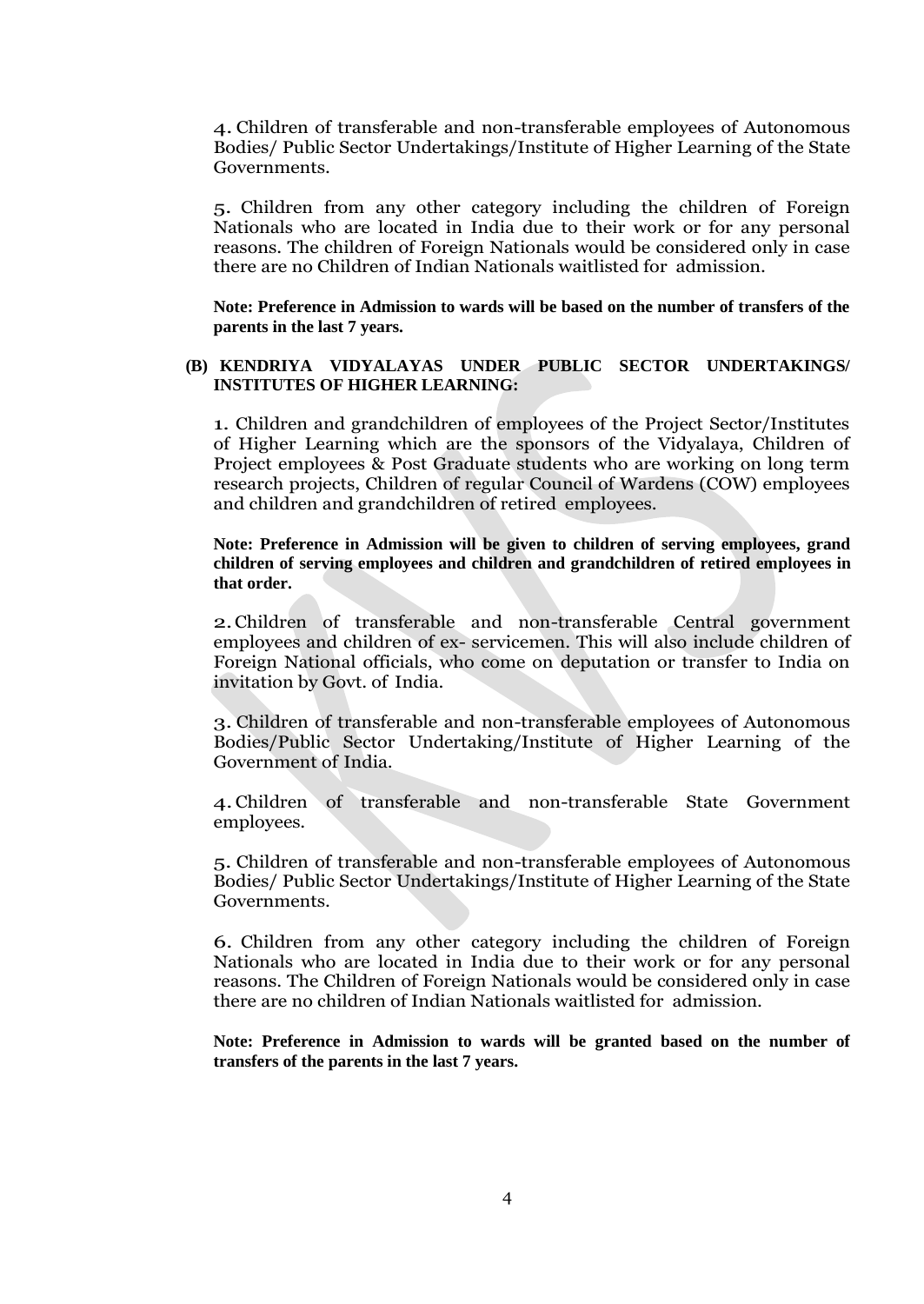4. Children of transferable and non-transferable employees of Autonomous Bodies/ Public Sector Undertakings/Institute of Higher Learning of the State Governments.

5. Children from any other category including the children of Foreign Nationals who are located in India due to their work or for any personal reasons. The children of Foreign Nationals would be considered only in case there are no Children of Indian Nationals waitlisted for admission.

**Note: Preference in Admission to wards will be based on the number of transfers of the parents in the last 7 years.**

### **(B) KENDRIYA VIDYALAYAS UNDER PUBLIC SECTOR UNDERTAKINGS/ INSTITUTES OF HIGHER LEARNING:**

1. Children and grandchildren of employees of the Project Sector/Institutes of Higher Learning which are the sponsors of the Vidyalaya, Children of Project employees & Post Graduate students who are working on long term research projects, Children of regular Council of Wardens (COW) employees and children and grandchildren of retired employees.

**Note: Preference in Admission will be given to children of serving employees, grand children of serving employees and children and grandchildren of retired employees in that order.**

2.Children of transferable and non-transferable Central government employees and children of ex- servicemen. This will also include children of Foreign National officials, who come on deputation or transfer to India on invitation by Govt. of India.

3. Children of transferable and non-transferable employees of Autonomous Bodies/Public Sector Undertaking/Institute of Higher Learning of the Government of India.

4.Children of transferable and non-transferable State Government employees.

5. Children of transferable and non-transferable employees of Autonomous Bodies/ Public Sector Undertakings/Institute of Higher Learning of the State Governments.

6. Children from any other category including the children of Foreign Nationals who are located in India due to their work or for any personal reasons. The Children of Foreign Nationals would be considered only in case there are no children of Indian Nationals waitlisted for admission.

**Note: Preference in Admission to wards will be granted based on the number of transfers of the parents in the last 7 years.**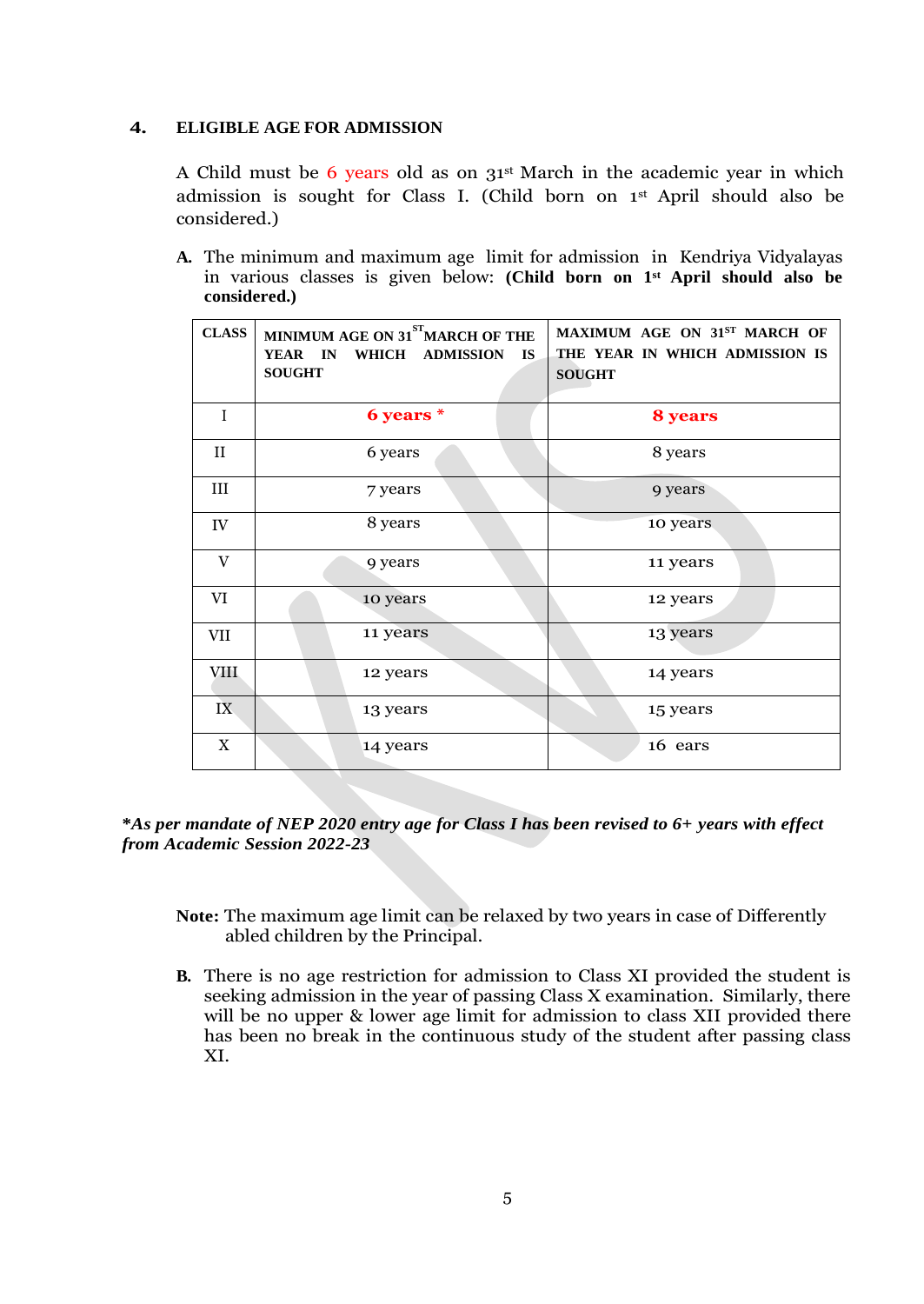### **4. ELIGIBLE AGE FOR ADMISSION**

A Child must be 6 years old as on 31st March in the academic year in which admission is sought for Class I. (Child born on 1st April should also be considered.)

**A.** The minimum and maximum age limit for admission in Kendriya Vidyalayas in various classes is given below: **(Child born on 1st April should also be considered.)**

| <b>CLASS</b> | MINIMUM AGE ON 31 <sup>ST</sup> MARCH OF THE<br>YEAR IN<br>WHICH ADMISSION<br><b>IS</b><br><b>SOUGHT</b> | MAXIMUM AGE ON 31ST MARCH OF<br>THE YEAR IN WHICH ADMISSION IS<br><b>SOUGHT</b> |  |
|--------------|----------------------------------------------------------------------------------------------------------|---------------------------------------------------------------------------------|--|
| $\mathbf{I}$ | 6 years *                                                                                                | 8 years                                                                         |  |
| $_{\rm II}$  | 6 years                                                                                                  | 8 years                                                                         |  |
| III          | 7 years                                                                                                  | 9 years                                                                         |  |
| IV           | 8 years                                                                                                  | 10 years                                                                        |  |
| V            | 9 years                                                                                                  | 11 years                                                                        |  |
| VI           | 10 years                                                                                                 | 12 years                                                                        |  |
| VII          | 11 years                                                                                                 | 13 years                                                                        |  |
| <b>VIII</b>  | 12 years                                                                                                 | 14 years                                                                        |  |
| IX           | 13 years                                                                                                 | 15 years                                                                        |  |
| $\mathbf X$  | 14 years                                                                                                 | 16 ears                                                                         |  |

**\****As per mandate of NEP 2020 entry age for Class I has been revised to 6+ years with effect from Academic Session 2022-23* 

- **Note:** The maximum age limit can be relaxed by two years in case of Differently abled children by the Principal.
- **B.** There is no age restriction for admission to Class XI provided the student is seeking admission in the year of passing Class X examination. Similarly, there will be no upper & lower age limit for admission to class XII provided there has been no break in the continuous study of the student after passing class XI.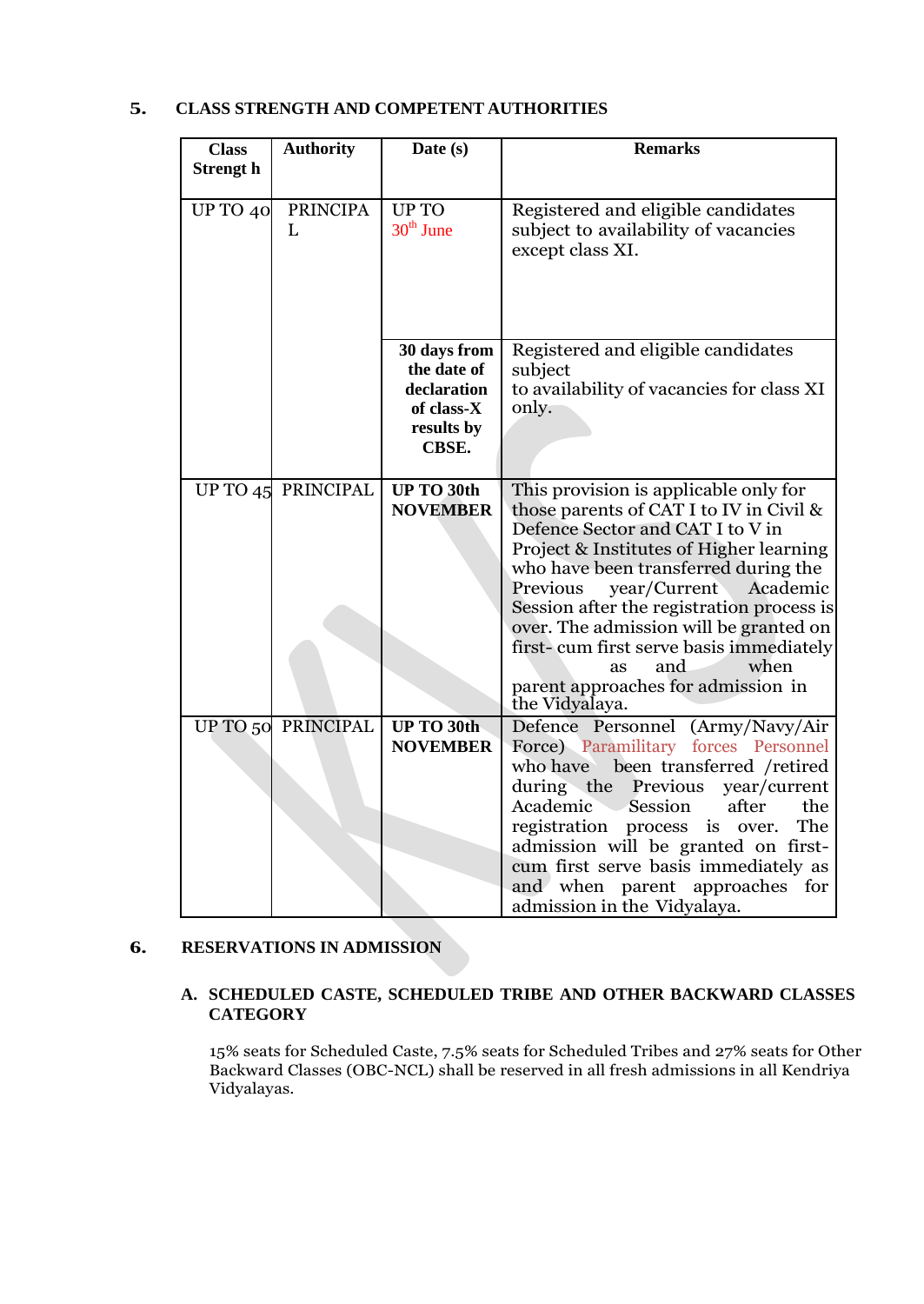# **5. CLASS STRENGTH AND COMPETENT AUTHORITIES**

| <b>Class</b>     | <b>Authority</b>                  | Date (s)                                                                        | <b>Remarks</b>                                                                                                                                                                                                                                                                                                                                                                                                                                                     |
|------------------|-----------------------------------|---------------------------------------------------------------------------------|--------------------------------------------------------------------------------------------------------------------------------------------------------------------------------------------------------------------------------------------------------------------------------------------------------------------------------------------------------------------------------------------------------------------------------------------------------------------|
| <b>Strengt</b> h |                                   |                                                                                 |                                                                                                                                                                                                                                                                                                                                                                                                                                                                    |
| UP TO 40         | <b>PRINCIPA</b><br>$\mathbf{I}$ . | <b>UPTO</b><br>$30th$ June                                                      | Registered and eligible candidates<br>subject to availability of vacancies<br>except class XI.                                                                                                                                                                                                                                                                                                                                                                     |
|                  |                                   | 30 days from<br>the date of<br>declaration<br>of class-X<br>results by<br>CBSE. | Registered and eligible candidates<br>subject<br>to availability of vacancies for class XI<br>only.                                                                                                                                                                                                                                                                                                                                                                |
|                  | UP TO 45 PRINCIPAL                | <b>UP TO 30th</b><br><b>NOVEMBER</b>                                            | This provision is applicable only for<br>those parents of CAT I to IV in Civil &<br>Defence Sector and CAT I to V in<br>Project & Institutes of Higher learning<br>who have been transferred during the<br>year/Current Academic<br>Previous<br>Session after the registration process is<br>over. The admission will be granted on<br>first-cum first serve basis immediately<br>when<br>and<br><b>as</b><br>parent approaches for admission in<br>the Vidyalaya. |
|                  | UP TO 50 PRINCIPAL                | <b>UP TO 30th</b><br><b>NOVEMBER</b>                                            | Defence Personnel (Army/Navy/Air<br>Force) Paramilitary forces Personnel<br>who have<br>been transferred /retired<br>during the<br>Previous<br>year/current<br>Academic<br>the<br>Session<br>after<br>The<br>registration<br>process is over.<br>admission will be granted on first-<br>cum first serve basis immediately as<br>and when parent approaches<br>for<br>admission in the Vidyalaya.                                                                   |

## **6. RESERVATIONS IN ADMISSION**

# **A. SCHEDULED CASTE, SCHEDULED TRIBE AND OTHER BACKWARD CLASSES CATEGORY**

15% seats for Scheduled Caste, 7.5% seats for Scheduled Tribes and 27% seats for Other Backward Classes (OBC-NCL) shall be reserved in all fresh admissions in all Kendriya Vidyalayas.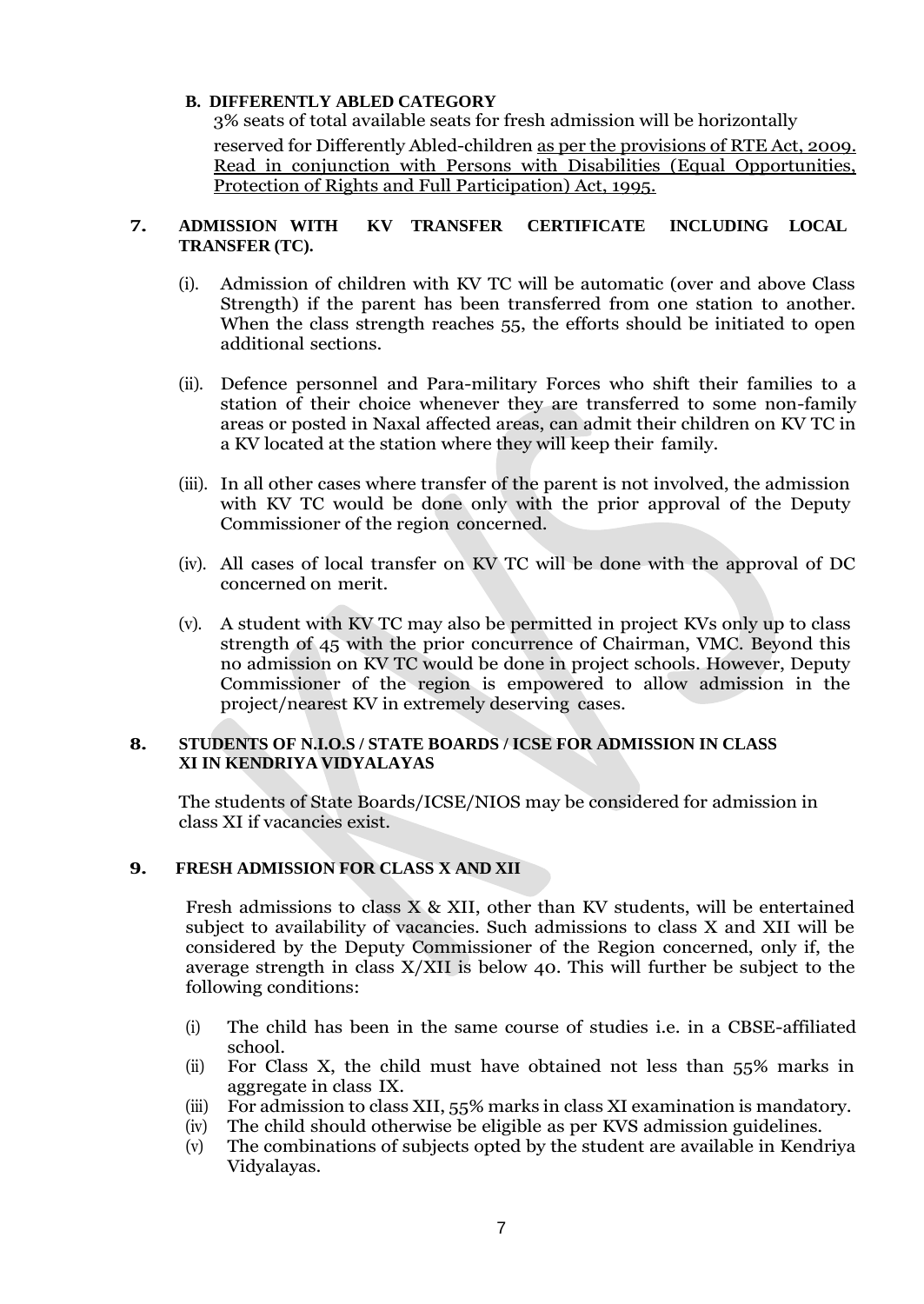# **B. DIFFERENTLY ABLED CATEGORY**

3% seats of total available seats for fresh admission will be horizontally reserved for Differently Abled-children as per the provisions of RTE Act, 2009. Read in conjunction with Persons with Disabilities (Equal Opportunities, Protection of Rights and Full Participation) Act, 1995.

## **7. ADMISSION WITH KV TRANSFER CERTIFICATE INCLUDING LOCAL TRANSFER (TC).**

- (i). Admission of children with KV TC will be automatic (over and above Class Strength) if the parent has been transferred from one station to another. When the class strength reaches 55, the efforts should be initiated to open additional sections.
- (ii). Defence personnel and Para-military Forces who shift their families to a station of their choice whenever they are transferred to some non-family areas or posted in Naxal affected areas, can admit their children on KV TC in a KV located at the station where they will keep their family.
- (iii). In all other cases where transfer of the parent is not involved, the admission with KV TC would be done only with the prior approval of the Deputy Commissioner of the region concerned.
- (iv). All cases of local transfer on KV TC will be done with the approval of DC concerned on merit.
- (v). A student with KV TC may also be permitted in project KVs only up to class strength of 45 with the prior concurrence of Chairman, VMC. Beyond this no admission on KV TC would be done in project schools. However, Deputy Commissioner of the region is empowered to allow admission in the project/nearest KV in extremely deserving cases.

# **8. STUDENTS OF N.I.O.S / STATE BOARDS / ICSE FOR ADMISSION IN CLASS XI IN KENDRIYA VIDYALAYAS**

The students of State Boards/ICSE/NIOS may be considered for admission in class XI if vacancies exist.

# **9. FRESH ADMISSION FOR CLASS X AND XII**

Fresh admissions to class X & XII, other than KV students, will be entertained subject to availability of vacancies. Such admissions to class X and XII will be considered by the Deputy Commissioner of the Region concerned, only if, the average strength in class X/XII is below 40. This will further be subject to the following conditions:

- (i) The child has been in the same course of studies i.e. in a CBSE-affiliated school.
- (ii) For Class X, the child must have obtained not less than 55% marks in aggregate in class IX.
- (iii) For admission to class XII, 55% marks in class XI examination is mandatory.
- (iv) The child should otherwise be eligible as per KVS admission guidelines.
- (v) The combinations of subjects opted by the student are available in Kendriya Vidyalayas.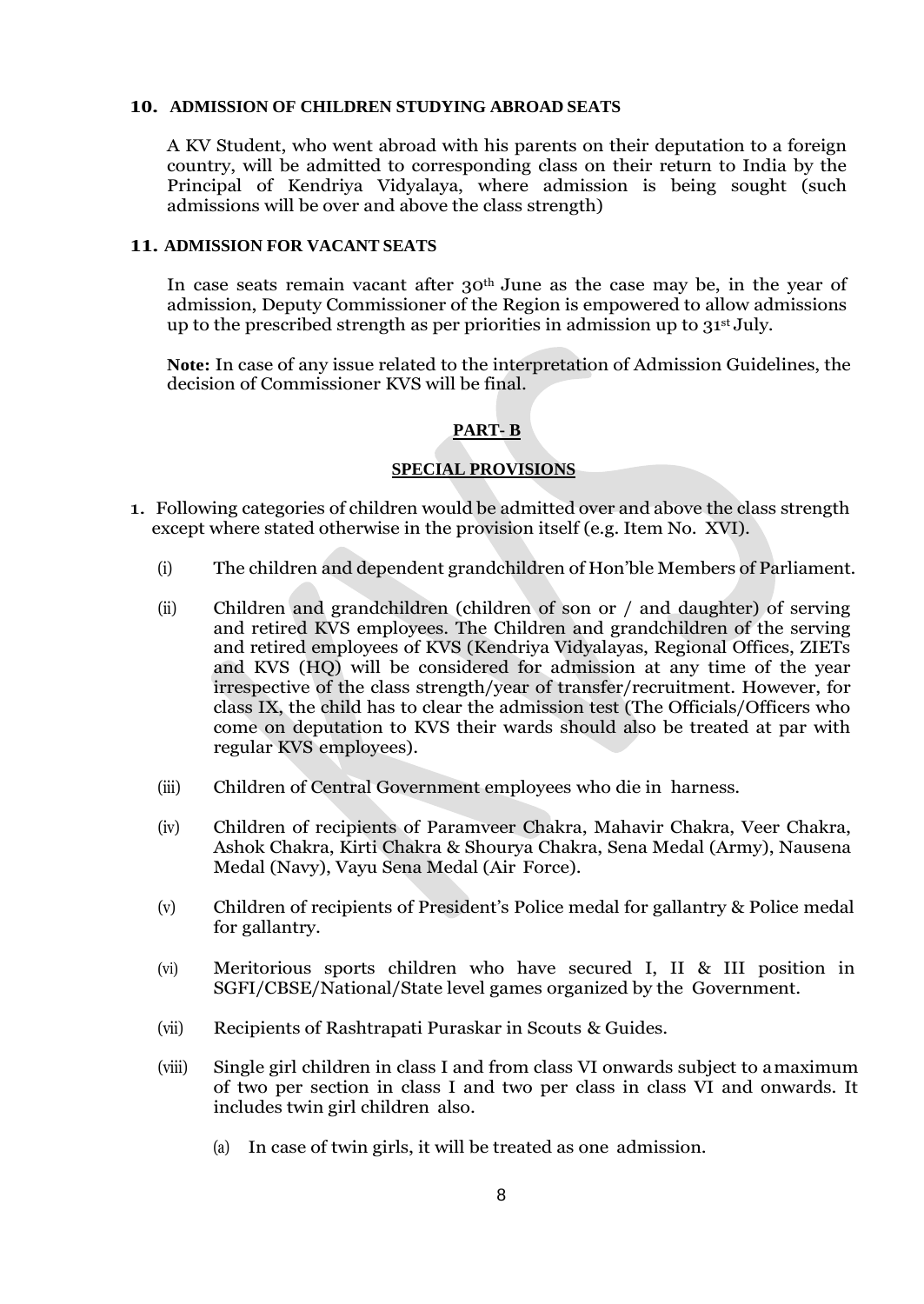### **10. ADMISSION OF CHILDREN STUDYING ABROAD SEATS**

A KV Student, who went abroad with his parents on their deputation to a foreign country, will be admitted to corresponding class on their return to India by the Principal of Kendriya Vidyalaya, where admission is being sought (such admissions will be over and above the class strength)

## **11. ADMISSION FOR VACANT SEATS**

In case seats remain vacant after 30th June as the case may be, in the year of admission, Deputy Commissioner of the Region is empowered to allow admissions up to the prescribed strength as per priorities in admission up to  $31<sup>st</sup>$  July.

**Note:** In case of any issue related to the interpretation of Admission Guidelines, the decision of Commissioner KVS will be final.

# **PART- B**

# **SPECIAL PROVISIONS**

- 1. Following categories of children would be admitted over and above the class strength except where stated otherwise in the provision itself (e.g. Item No. XVI).
	- (i) The children and dependent grandchildren of Hon"ble Members of Parliament.
	- (ii) Children and grandchildren (children of son or / and daughter) of serving and retired KVS employees. The Children and grandchildren of the serving and retired employees of KVS (Kendriya Vidyalayas, Regional Offices, ZIETs and KVS (HQ) will be considered for admission at any time of the year irrespective of the class strength/year of transfer/recruitment. However, for class IX, the child has to clear the admission test (The Officials/Officers who come on deputation to KVS their wards should also be treated at par with regular KVS employees).
	- (iii) Children of Central Government employees who die in harness.
	- (iv) Children of recipients of Paramveer Chakra, Mahavir Chakra, Veer Chakra, Ashok Chakra, Kirti Chakra & Shourya Chakra, Sena Medal (Army), Nausena Medal (Navy), Vayu Sena Medal (Air Force).
	- (v) Children of recipients of President"s Police medal for gallantry & Police medal for gallantry.
	- (vi) Meritorious sports children who have secured I, II & III position in SGFI/CBSE/National/State level games organized by the Government.
	- (vii) Recipients of Rashtrapati Puraskar in Scouts & Guides.
	- (viii) Single girl children in class I and from class VI onwards subject to amaximum of two per section in class I and two per class in class VI and onwards. It includes twin girl children also.
		- (a) In case of twin girls, it will be treated as one admission.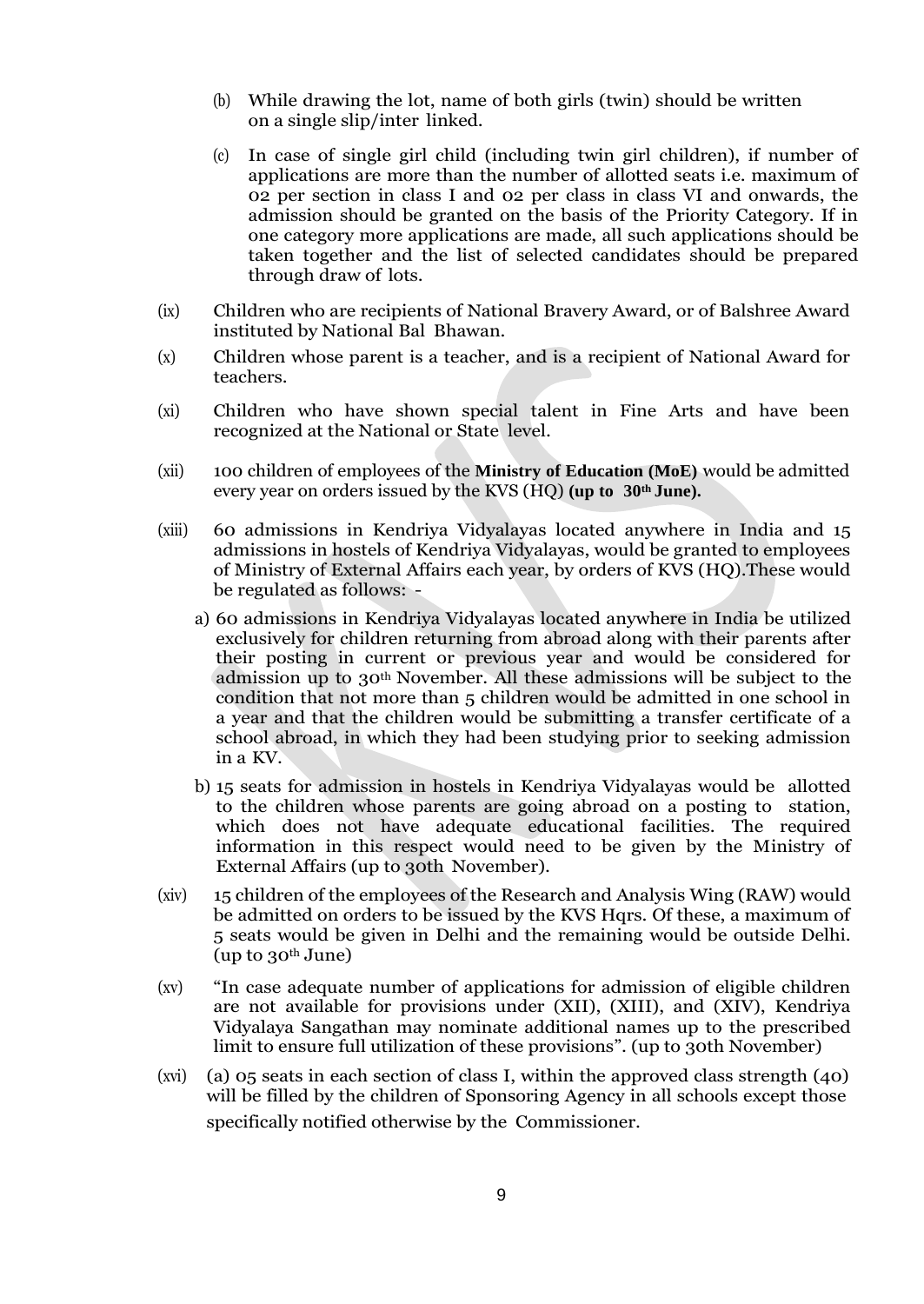- (b) While drawing the lot, name of both girls (twin) should be written on a single slip/inter linked.
- (c) In case of single girl child (including twin girl children), if number of applications are more than the number of allotted seats i.e. maximum of 02 per section in class I and 02 per class in class VI and onwards, the admission should be granted on the basis of the Priority Category. If in one category more applications are made, all such applications should be taken together and the list of selected candidates should be prepared through draw of lots.
- (ix) Children who are recipients of National Bravery Award, or of Balshree Award instituted by National Bal Bhawan.
- (x) Children whose parent is a teacher, and is a recipient of National Award for teachers.
- (xi) Children who have shown special talent in Fine Arts and have been recognized at the National or State level.
- (xii) 100 children of employees of the **Ministry of Education (MoE)** would be admitted every year on orders issued by the KVS (HQ) **(up to 30th June).**
- (xiii) 60 admissions in Kendriya Vidyalayas located anywhere in India and 15 admissions in hostels of Kendriya Vidyalayas, would be granted to employees of Ministry of External Affairs each year, by orders of KVS (HQ).These would be regulated as follows:
	- a) 60 admissions in Kendriya Vidyalayas located anywhere in India be utilized exclusively for children returning from abroad along with their parents after their posting in current or previous year and would be considered for admission up to 30th November. All these admissions will be subject to the condition that not more than 5 children would be admitted in one school in a year and that the children would be submitting a transfer certificate of a school abroad, in which they had been studying prior to seeking admission in a KV.
	- b) 15 seats for admission in hostels in Kendriya Vidyalayas would be allotted to the children whose parents are going abroad on a posting to station, which does not have adequate educational facilities. The required information in this respect would need to be given by the Ministry of External Affairs (up to 30th November).
- (xiv) 15 children of the employees of the Research and Analysis Wing (RAW) would be admitted on orders to be issued by the KVS Hqrs. Of these, a maximum of 5 seats would be given in Delhi and the remaining would be outside Delhi. (up to 30th June)
- (xv) "In case adequate number of applications for admission of eligible children are not available for provisions under (XII), (XIII), and (XIV), Kendriya Vidyalaya Sangathan may nominate additional names up to the prescribed limit to ensure full utilization of these provisions". (up to 30th November)
- (xvi) (a) 05 seats in each section of class I, within the approved class strength (40) will be filled by the children of Sponsoring Agency in all schools except those specifically notified otherwise by the Commissioner.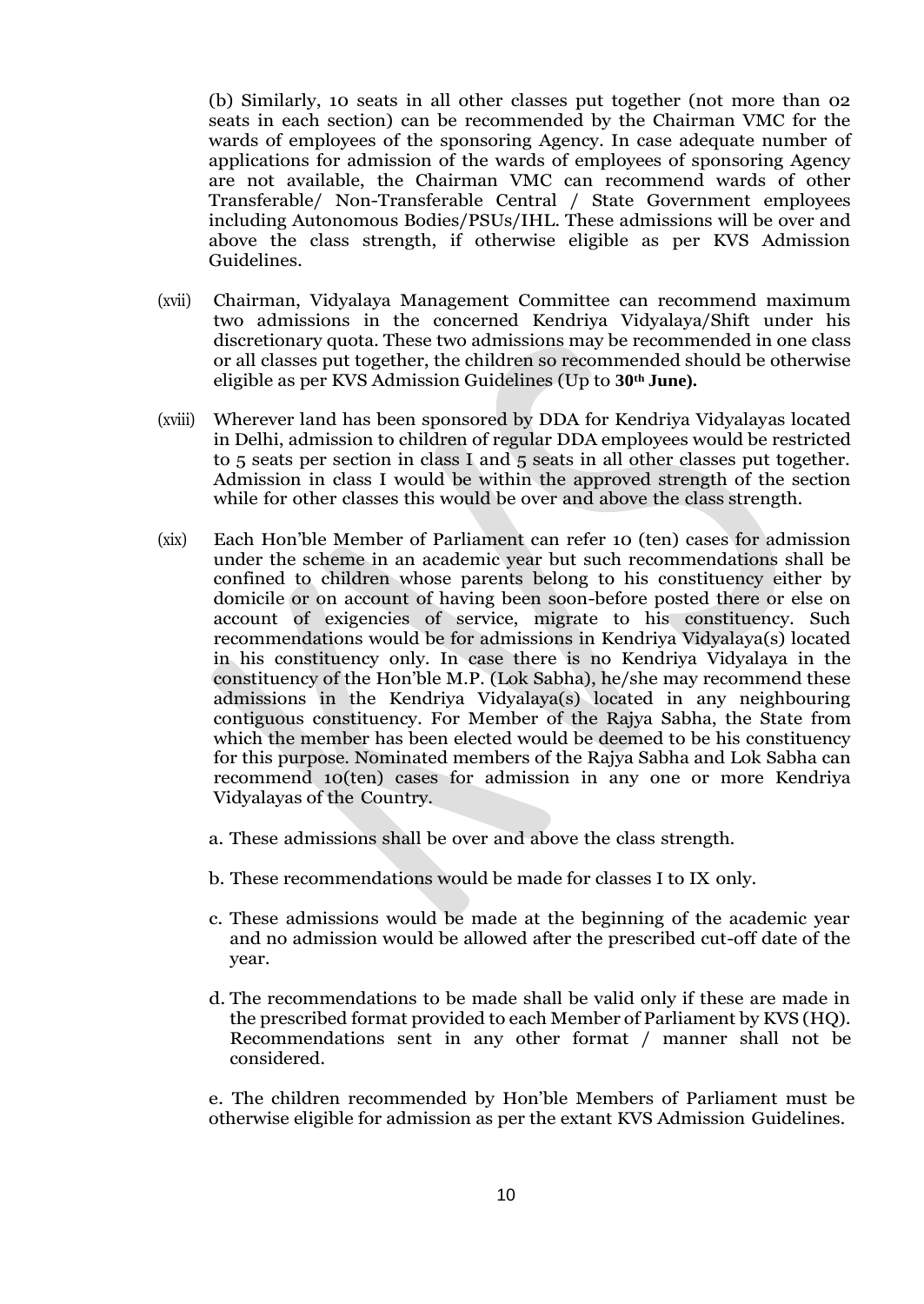(b) Similarly, 10 seats in all other classes put together (not more than 02 seats in each section) can be recommended by the Chairman VMC for the wards of employees of the sponsoring Agency. In case adequate number of applications for admission of the wards of employees of sponsoring Agency are not available, the Chairman VMC can recommend wards of other Transferable/ Non-Transferable Central / State Government employees including Autonomous Bodies/PSUs/IHL. These admissions will be over and above the class strength, if otherwise eligible as per KVS Admission Guidelines.

- (xvii) Chairman, Vidyalaya Management Committee can recommend maximum two admissions in the concerned Kendriya Vidyalaya/Shift under his discretionary quota. These two admissions may be recommended in one class or all classes put together, the children so recommended should be otherwise eligible as per KVS Admission Guidelines (Up to **30th June).**
- (xviii) Wherever land has been sponsored by DDA for Kendriya Vidyalayas located in Delhi, admission to children of regular DDA employees would be restricted to 5 seats per section in class I and 5 seats in all other classes put together. Admission in class I would be within the approved strength of the section while for other classes this would be over and above the class strength.
- (xix) Each Hon"ble Member of Parliament can refer 10 (ten) cases for admission under the scheme in an academic year but such recommendations shall be confined to children whose parents belong to his constituency either by domicile or on account of having been soon-before posted there or else on account of exigencies of service, migrate to his constituency. Such recommendations would be for admissions in Kendriya Vidyalaya(s) located in his constituency only. In case there is no Kendriya Vidyalaya in the constituency of the Hon"ble M.P. (Lok Sabha), he/she may recommend these admissions in the Kendriya Vidyalaya(s) located in any neighbouring contiguous constituency. For Member of the Rajya Sabha, the State from which the member has been elected would be deemed to be his constituency for this purpose. Nominated members of the Rajya Sabha and Lok Sabha can recommend 10(ten) cases for admission in any one or more Kendriya Vidyalayas of the Country.
	- a. These admissions shall be over and above the class strength.
	- b. These recommendations would be made for classes I to IX only.
	- c. These admissions would be made at the beginning of the academic year and no admission would be allowed after the prescribed cut-off date of the year.
	- d. The recommendations to be made shall be valid only if these are made in the prescribed format provided to each Member of Parliament by KVS (HQ). Recommendations sent in any other format / manner shall not be considered.

e. The children recommended by Hon"ble Members of Parliament must be otherwise eligible for admission as per the extant KVS Admission Guidelines.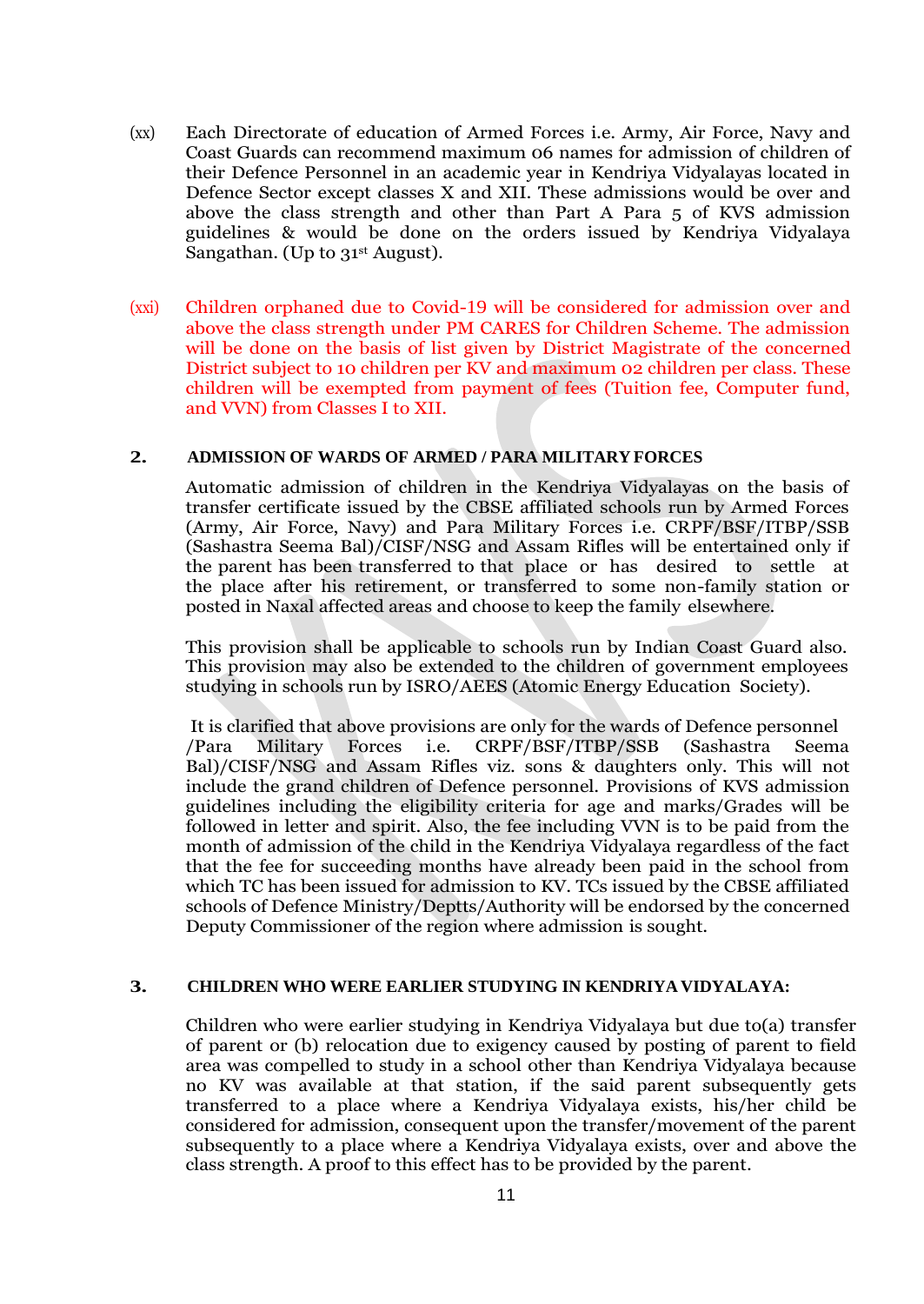- (xx) Each Directorate of education of Armed Forces i.e. Army, Air Force, Navy and Coast Guards can recommend maximum 06 names for admission of children of their Defence Personnel in an academic year in Kendriya Vidyalayas located in Defence Sector except classes X and XII. These admissions would be over and above the class strength and other than Part A Para 5 of KVS admission guidelines & would be done on the orders issued by Kendriya Vidyalaya Sangathan. (Up to 31<sup>st</sup> August).
- (xxi) Children orphaned due to Covid-19 will be considered for admission over and above the class strength under PM CARES for Children Scheme. The admission will be done on the basis of list given by District Magistrate of the concerned District subject to 10 children per KV and maximum 02 children per class. These children will be exempted from payment of fees (Tuition fee, Computer fund, and VVN) from Classes I to XII.

### **2. ADMISSION OF WARDS OF ARMED / PARA MILITARY FORCES**

Automatic admission of children in the Kendriya Vidyalayas on the basis of transfer certificate issued by the CBSE affiliated schools run by Armed Forces (Army, Air Force, Navy) and Para Military Forces i.e. CRPF/BSF/ITBP/SSB (Sashastra Seema Bal)/CISF/NSG and Assam Rifles will be entertained only if the parent has been transferred to that place or has desired to settle at the place after his retirement, or transferred to some non-family station or posted in Naxal affected areas and choose to keep the family elsewhere.

This provision shall be applicable to schools run by Indian Coast Guard also. This provision may also be extended to the children of government employees studying in schools run by ISRO/AEES (Atomic Energy Education Society).

It is clarified that above provisions are only for the wards of Defence personnel /Para Military Forces i.e. CRPF/BSF/ITBP/SSB (Sashastra Seema Bal)/CISF/NSG and Assam Rifles viz. sons & daughters only. This will not include the grand children of Defence personnel. Provisions of KVS admission guidelines including the eligibility criteria for age and marks/Grades will be followed in letter and spirit. Also, the fee including VVN is to be paid from the month of admission of the child in the Kendriya Vidyalaya regardless of the fact that the fee for succeeding months have already been paid in the school from which TC has been issued for admission to KV. TCs issued by the CBSE affiliated schools of Defence Ministry/Deptts/Authority will be endorsed by the concerned Deputy Commissioner of the region where admission is sought.

#### **3. CHILDREN WHO WERE EARLIER STUDYING IN KENDRIYA VIDYALAYA:**

Children who were earlier studying in Kendriya Vidyalaya but due to(a) transfer of parent or (b) relocation due to exigency caused by posting of parent to field area was compelled to study in a school other than Kendriya Vidyalaya because no KV was available at that station, if the said parent subsequently gets transferred to a place where a Kendriya Vidyalaya exists, his/her child be considered for admission, consequent upon the transfer/movement of the parent subsequently to a place where a Kendriya Vidyalaya exists, over and above the class strength. A proof to this effect has to be provided by the parent.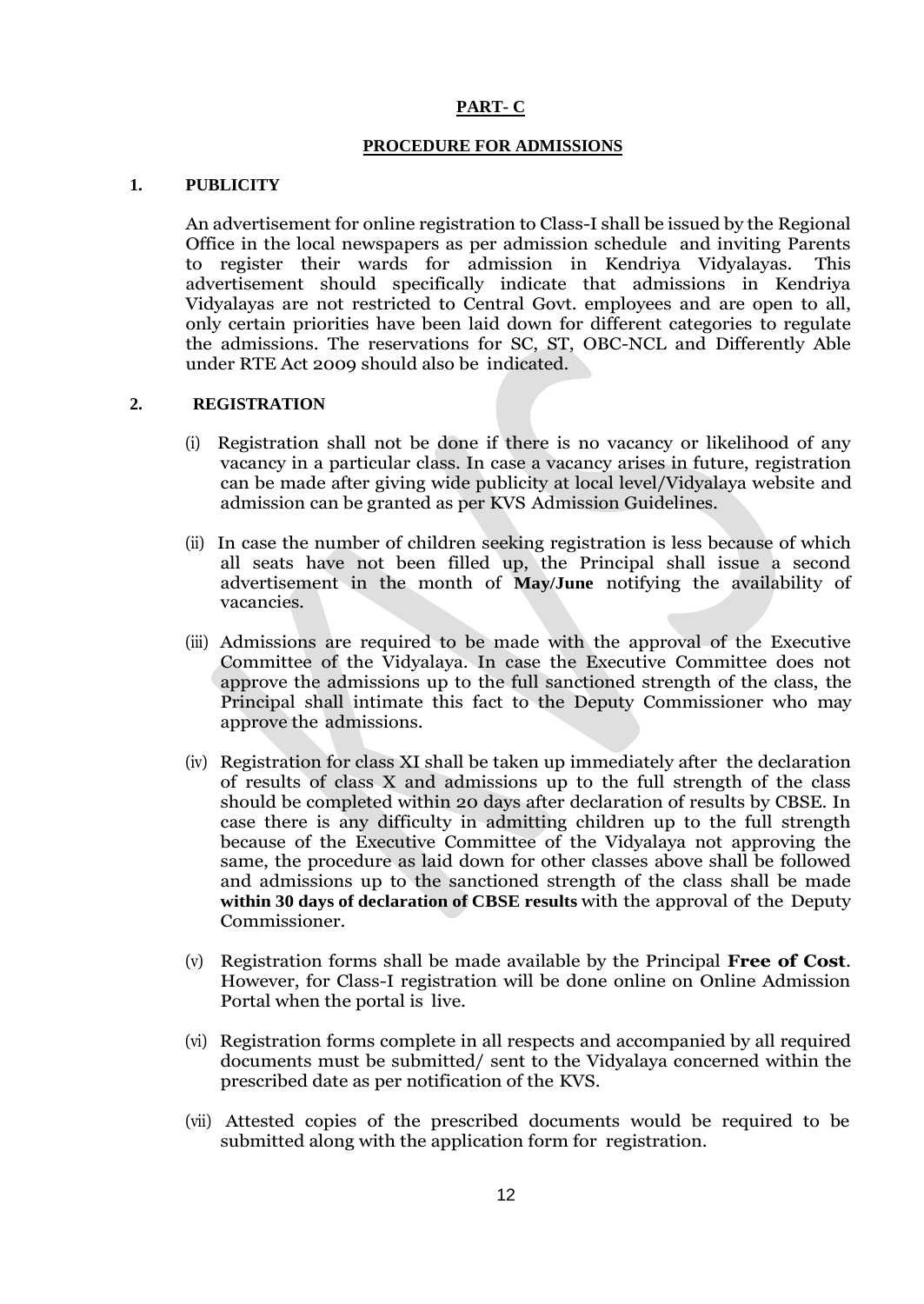#### **PART- C**

#### **PROCEDURE FOR ADMISSIONS**

### **1. PUBLICITY**

An advertisement for online registration to Class-I shall be issued by the Regional Office in the local newspapers as per admission schedule and inviting Parents to register their wards for admission in Kendriya Vidyalayas. This advertisement should specifically indicate that admissions in Kendriya Vidyalayas are not restricted to Central Govt. employees and are open to all, only certain priorities have been laid down for different categories to regulate the admissions. The reservations for SC, ST, OBC-NCL and Differently Able under RTE Act 2009 should also be indicated.

### **2. REGISTRATION**

- (i) Registration shall not be done if there is no vacancy or likelihood of any vacancy in a particular class. In case a vacancy arises in future, registration can be made after giving wide publicity at local level/Vidyalaya website and admission can be granted as per KVS Admission Guidelines.
- (ii) In case the number of children seeking registration is less because of which all seats have not been filled up, the Principal shall issue a second advertisement in the month of **May/June** notifying the availability of vacancies.
- (iii) Admissions are required to be made with the approval of the Executive Committee of the Vidyalaya. In case the Executive Committee does not approve the admissions up to the full sanctioned strength of the class, the Principal shall intimate this fact to the Deputy Commissioner who may approve the admissions.
- (iv) Registration for class XI shall be taken up immediately after the declaration of results of class X and admissions up to the full strength of the class should be completed within 20 days after declaration of results by CBSE. In case there is any difficulty in admitting children up to the full strength because of the Executive Committee of the Vidyalaya not approving the same, the procedure as laid down for other classes above shall be followed and admissions up to the sanctioned strength of the class shall be made **within 30 days of declaration of CBSE results** with the approval of the Deputy Commissioner.
- (v) Registration forms shall be made available by the Principal **Free of Cost**. However, for Class-I registration will be done online on Online Admission Portal when the portal is live.
- (vi) Registration forms complete in all respects and accompanied by all required documents must be submitted/ sent to the Vidyalaya concerned within the prescribed date as per notification of the KVS.
- (vii) Attested copies of the prescribed documents would be required to be submitted along with the application form for registration.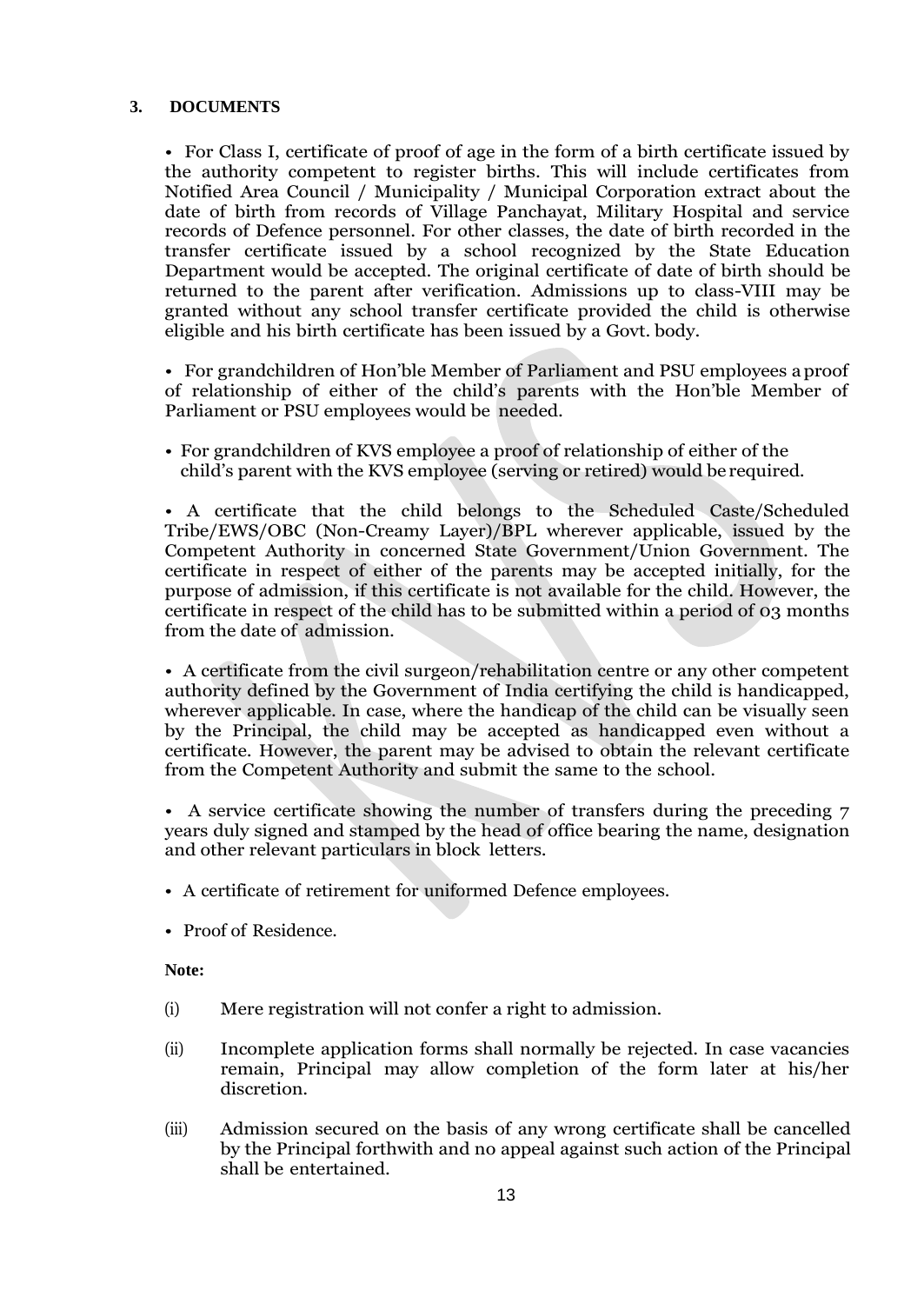### **3. DOCUMENTS**

• For Class I, certificate of proof of age in the form of a birth certificate issued by the authority competent to register births. This will include certificates from Notified Area Council / Municipality / Municipal Corporation extract about the date of birth from records of Village Panchayat, Military Hospital and service records of Defence personnel. For other classes, the date of birth recorded in the transfer certificate issued by a school recognized by the State Education Department would be accepted. The original certificate of date of birth should be returned to the parent after verification. Admissions up to class-VIII may be granted without any school transfer certificate provided the child is otherwise eligible and his birth certificate has been issued by a Govt. body.

• For grandchildren of Hon"ble Member of Parliament and PSU employees aproof of relationship of either of the child"s parents with the Hon"ble Member of Parliament or PSU employees would be needed.

• For grandchildren of KVS employee a proof of relationship of either of the child"s parent with the KVS employee (serving or retired) would be required.

• A certificate that the child belongs to the Scheduled Caste/Scheduled Tribe/EWS/OBC (Non-Creamy Layer)/BPL wherever applicable, issued by the Competent Authority in concerned State Government/Union Government. The certificate in respect of either of the parents may be accepted initially, for the purpose of admission, if this certificate is not available for the child. However, the certificate in respect of the child has to be submitted within a period of 03 months from the date of admission.

• A certificate from the civil surgeon/rehabilitation centre or any other competent authority defined by the Government of India certifying the child is handicapped, wherever applicable. In case, where the handicap of the child can be visually seen by the Principal, the child may be accepted as handicapped even without a certificate. However, the parent may be advised to obtain the relevant certificate from the Competent Authority and submit the same to the school.

• A service certificate showing the number of transfers during the preceding 7 years duly signed and stamped by the head of office bearing the name, designation and other relevant particulars in block letters.

- A certificate of retirement for uniformed Defence employees.
- Proof of Residence.

**Note:**

- (i) Mere registration will not confer a right to admission.
- (ii) Incomplete application forms shall normally be rejected. In case vacancies remain, Principal may allow completion of the form later at his/her discretion.
- (iii) Admission secured on the basis of any wrong certificate shall be cancelled by the Principal forthwith and no appeal against such action of the Principal shall be entertained.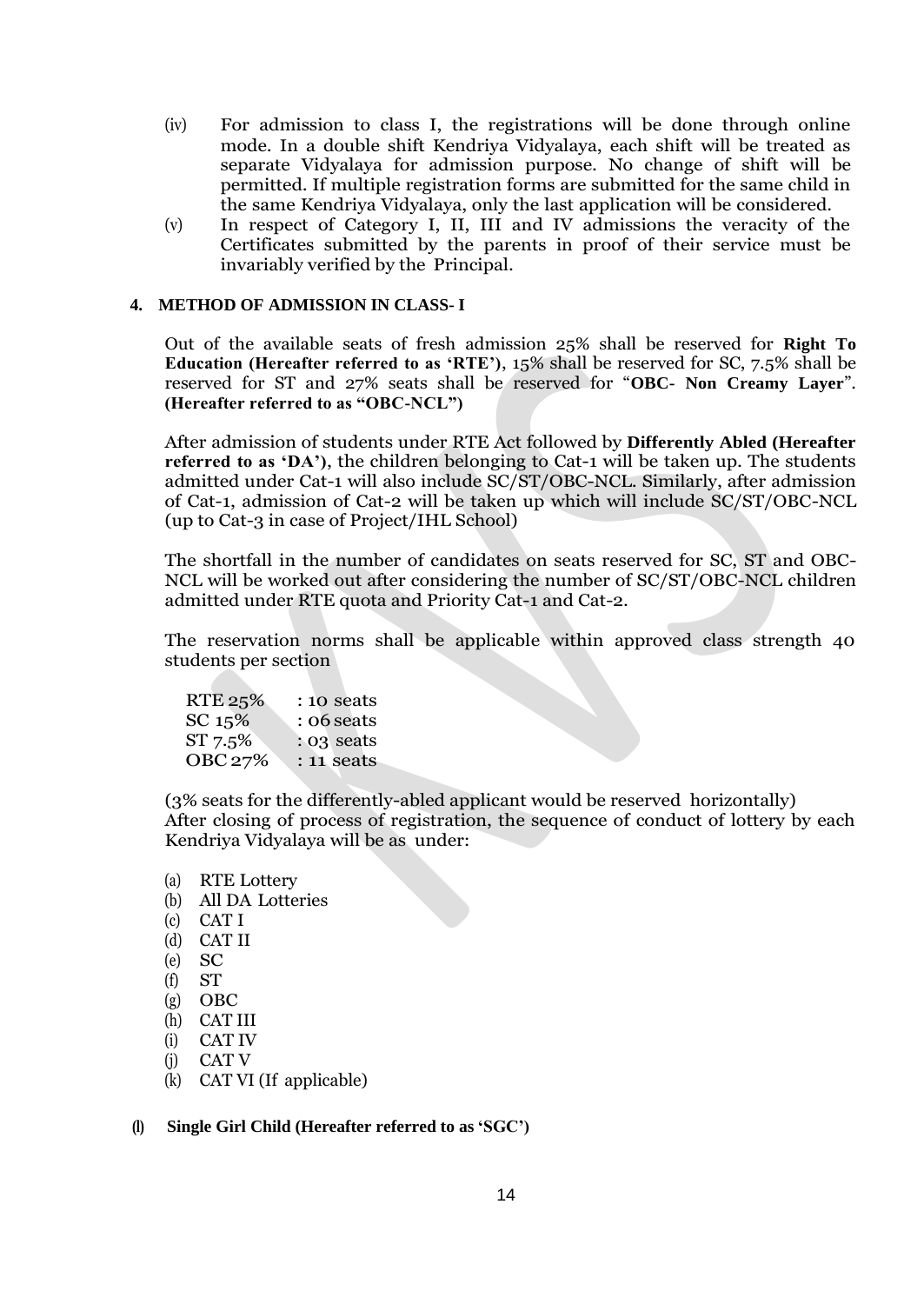- (iv) For admission to class I, the registrations will be done through online mode. In a double shift Kendriya Vidyalaya, each shift will be treated as separate Vidyalaya for admission purpose. No change of shift will be permitted. If multiple registration forms are submitted for the same child in the same Kendriya Vidyalaya, only the last application will be considered.
- (v) In respect of Category I, II, III and IV admissions the veracity of the Certificates submitted by the parents in proof of their service must be invariably verified by the Principal.

#### **4. METHOD OF ADMISSION IN CLASS- I**

Out of the available seats of fresh admission 25% shall be reserved for **Right To Education (Hereafter referred to as "RTE")**, 15% shall be reserved for SC, 7.5% shall be reserved for ST and 27% seats shall be reserved for "**OBC- Non Creamy Layer**". **(Hereafter referred to as "OBC-NCL")**

After admission of students under RTE Act followed by **Differently Abled (Hereafter referred to as "DA")**, the children belonging to Cat-1 will be taken up. The students admitted under Cat-1 will also include SC/ST/OBC-NCL. Similarly, after admission of Cat-1, admission of Cat-2 will be taken up which will include SC/ST/OBC-NCL (up to Cat-3 in case of Project/IHL School)

The shortfall in the number of candidates on seats reserved for SC, ST and OBC-NCL will be worked out after considering the number of SC/ST/OBC-NCL children admitted under RTE quota and Priority Cat-1 and Cat-2.

The reservation norms shall be applicable within approved class strength 40 students per section

| RTE 25% | : 10 seats    |
|---------|---------------|
| SC 15%  | : 06 seats    |
| ST 7.5% | $: 0.3$ seats |
| OBC 27% | : 11 seats    |

(3% seats for the differently-abled applicant would be reserved horizontally) After closing of process of registration, the sequence of conduct of lottery by each Kendriya Vidyalaya will be as under:

- (a) RTE Lottery
- (b) All DA Lotteries
- (c) CAT I
- (d) CAT II
- (e) SC
- (f) ST
- (g) OBC
- (h) CAT III
- (i) CAT IV
- (j) CAT V
- (k) CAT VI (If applicable)

### **(l) Single Girl Child (Hereafter referred to as "SGC")**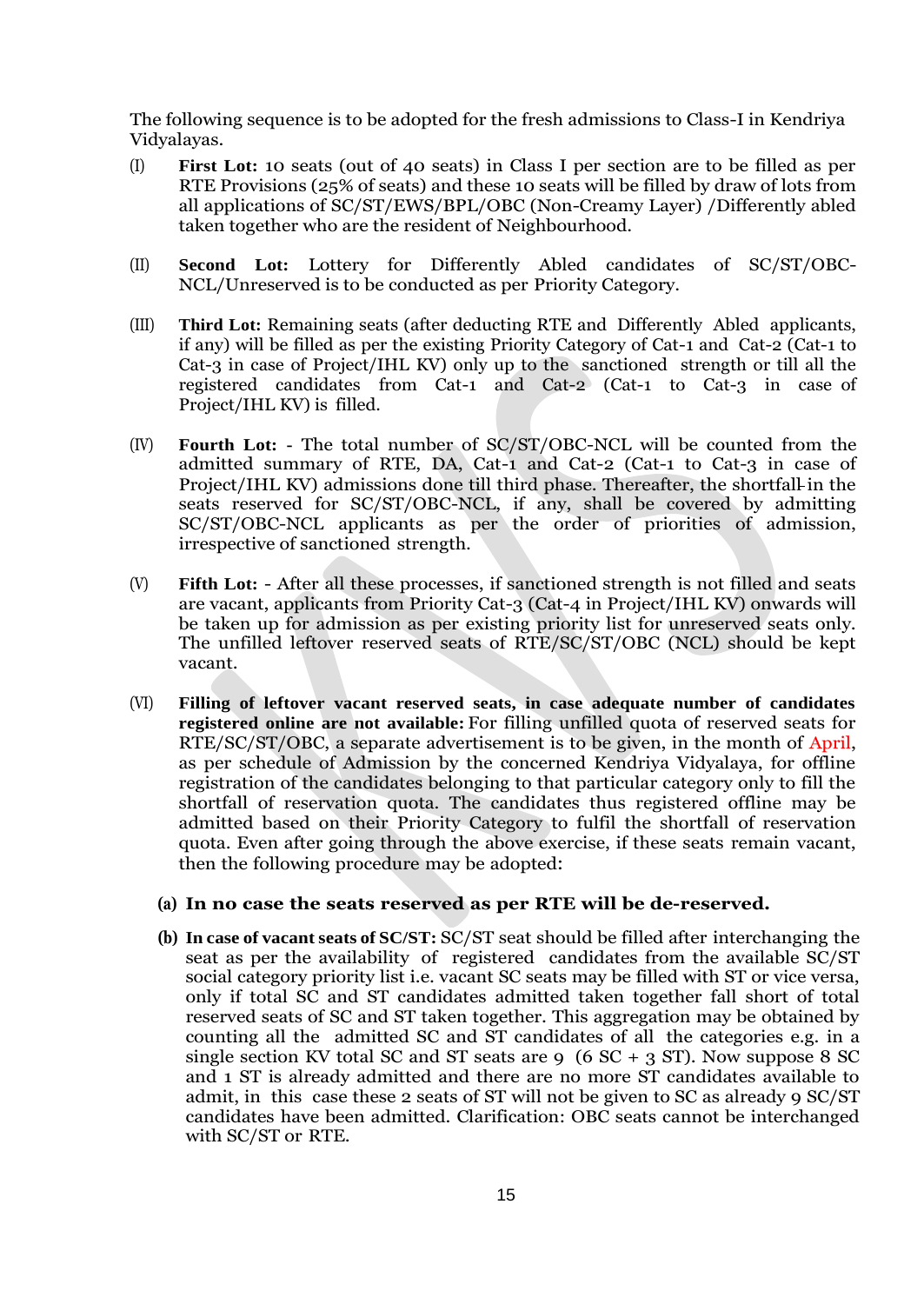The following sequence is to be adopted for the fresh admissions to Class-I in Kendriya Vidyalayas.

- (I) **First Lot:** 10 seats (out of 40 seats) in Class I per section are to be filled as per RTE Provisions (25% of seats) and these 10 seats will be filled by draw of lots from all applications of SC/ST/EWS/BPL/OBC (Non-Creamy Layer) /Differently abled taken together who are the resident of Neighbourhood.
- (II) **Second Lot:** Lottery for Differently Abled candidates of SC/ST/OBC-NCL/Unreserved is to be conducted as per Priority Category.
- (III) **Third Lot:** Remaining seats (after deducting RTE and Differently Abled applicants, if any) will be filled as per the existing Priority Category of Cat-1 and Cat-2 (Cat-1 to Cat-3 in case of Project/IHL KV) only up to the sanctioned strength or till all the registered candidates from Cat-1 and Cat-2 (Cat-1 to Cat-3 in case of Project/IHL KV) is filled.
- (IV) **Fourth Lot: -** The total number of SC/ST/OBC-NCL will be counted from the admitted summary of RTE, DA, Cat-1 and Cat-2 (Cat-1 to Cat-3 in case of Project/IHL KV) admissions done till third phase. Thereafter, the shortfall in the seats reserved for SC/ST/OBC-NCL, if any, shall be covered by admitting SC/ST/OBC-NCL applicants as per the order of priorities of admission, irrespective of sanctioned strength.
- (V) **Fifth Lot:**  After all these processes, if sanctioned strength is not filled and seats are vacant, applicants from Priority Cat-3 (Cat-4 in Project/IHL KV) onwards will be taken up for admission as per existing priority list for unreserved seats only. The unfilled leftover reserved seats of RTE/SC/ST/OBC (NCL) should be kept vacant.
- (VI) **Filling of leftover vacant reserved seats, in case adequate number of candidates registered online are not available:** For filling unfilled quota of reserved seats for RTE/SC/ST/OBC, a separate advertisement is to be given, in the month of April, as per schedule of Admission by the concerned Kendriya Vidyalaya, for offline registration of the candidates belonging to that particular category only to fill the shortfall of reservation quota. The candidates thus registered offline may be admitted based on their Priority Category to fulfil the shortfall of reservation quota. Even after going through the above exercise, if these seats remain vacant, then the following procedure may be adopted:

# **(a) In no case the seats reserved as per RTE will be de-reserved.**

**(b) In case of vacant seats of SC/ST:** SC/ST seat should be filled after interchanging the seat as per the availability of registered candidates from the available SC/ST social category priority list i.e. vacant SC seats may be filled with ST or vice versa, only if total SC and ST candidates admitted taken together fall short of total reserved seats of SC and ST taken together. This aggregation may be obtained by counting all the admitted SC and ST candidates of all the categories e.g. in a single section KV total SC and ST seats are 9 (6  $SC + 3 ST$ ). Now suppose 8 SC and 1 ST is already admitted and there are no more ST candidates available to admit, in this case these 2 seats of ST will not be given to SC as already 9 SC/ST candidates have been admitted. Clarification: OBC seats cannot be interchanged with SC/ST or RTE.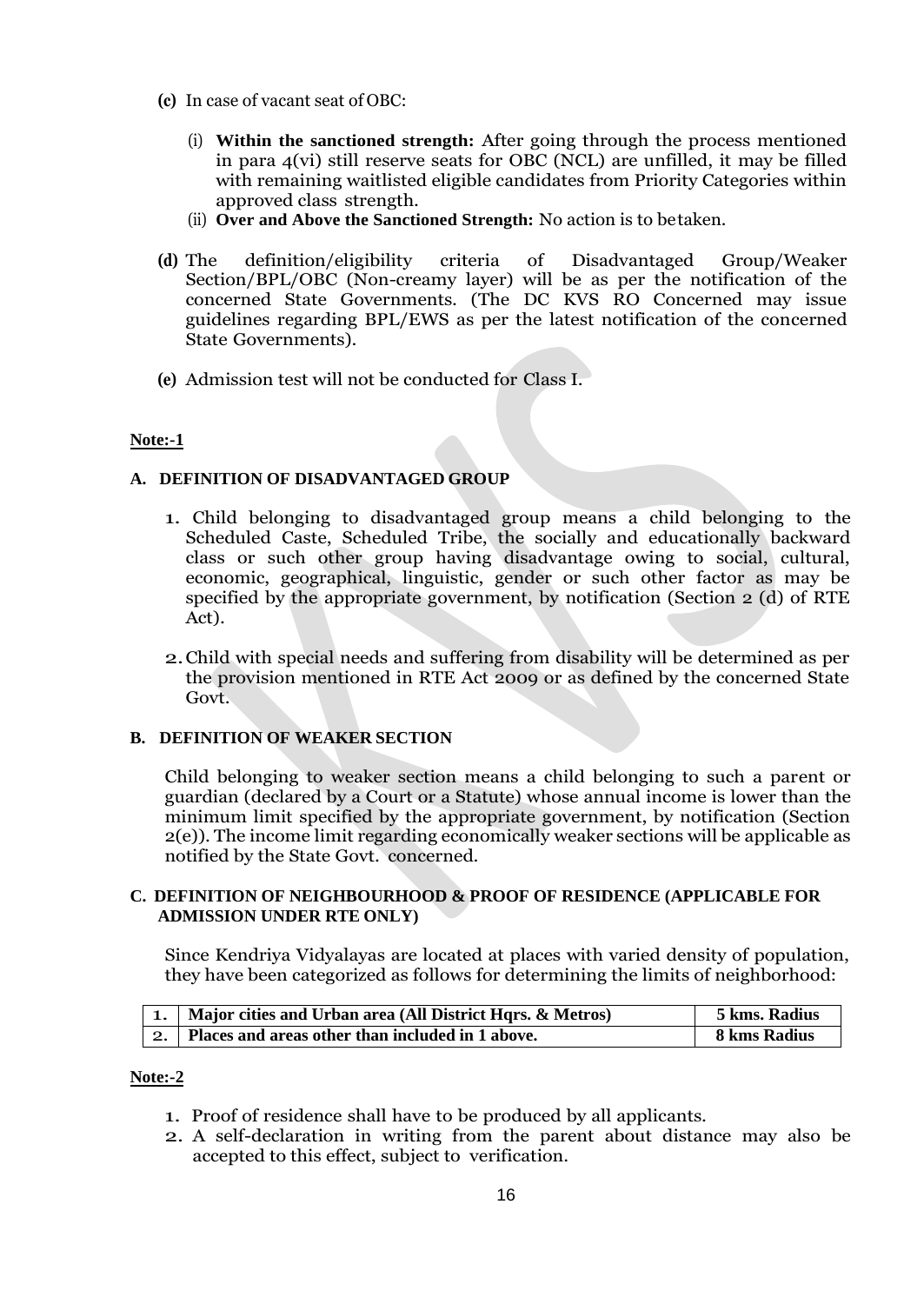- **(c)** In case of vacant seat of OBC:
	- (i) **Within the sanctioned strength:** After going through the process mentioned in para 4(vi) still reserve seats for OBC (NCL) are unfilled, it may be filled with remaining waitlisted eligible candidates from Priority Categories within approved class strength.
	- (ii) **Over and Above the Sanctioned Strength:** No action is to betaken.
- **(d)** The definition/eligibility criteria of Disadvantaged Group/Weaker Section/BPL/OBC (Non-creamy layer) will be as per the notification of the concerned State Governments. (The DC KVS RO Concerned may issue guidelines regarding BPL/EWS as per the latest notification of the concerned State Governments).
- **(e)** Admission test will not be conducted for Class I.

# **Note:-1**

# **A. DEFINITION OF DISADVANTAGED GROUP**

- 1. Child belonging to disadvantaged group means a child belonging to the Scheduled Caste, Scheduled Tribe, the socially and educationally backward class or such other group having disadvantage owing to social, cultural, economic, geographical, linguistic, gender or such other factor as may be specified by the appropriate government, by notification (Section 2 (d) of RTE Act).
- 2.Child with special needs and suffering from disability will be determined as per the provision mentioned in RTE Act 2009 or as defined by the concerned State Govt.

# **B. DEFINITION OF WEAKER SECTION**

Child belonging to weaker section means a child belonging to such a parent or guardian (declared by a Court or a Statute) whose annual income is lower than the minimum limit specified by the appropriate government, by notification (Section 2(e)). The income limit regarding economically weaker sections will be applicable as notified by the State Govt. concerned.

### **C. DEFINITION OF NEIGHBOURHOOD & PROOF OF RESIDENCE (APPLICABLE FOR ADMISSION UNDER RTE ONLY)**

Since Kendriya Vidyalayas are located at places with varied density of population, they have been categorized as follows for determining the limits of neighborhood:

| 1.   Major cities and Urban area (All District Hqrs. & Metros) | 5 kms. Radius |
|----------------------------------------------------------------|---------------|
| Places and areas other than included in 1 above.               | 8 kms Radius  |

### **Note:-2**

- 1. Proof of residence shall have to be produced by all applicants.
- 2. A self-declaration in writing from the parent about distance may also be accepted to this effect, subject to verification.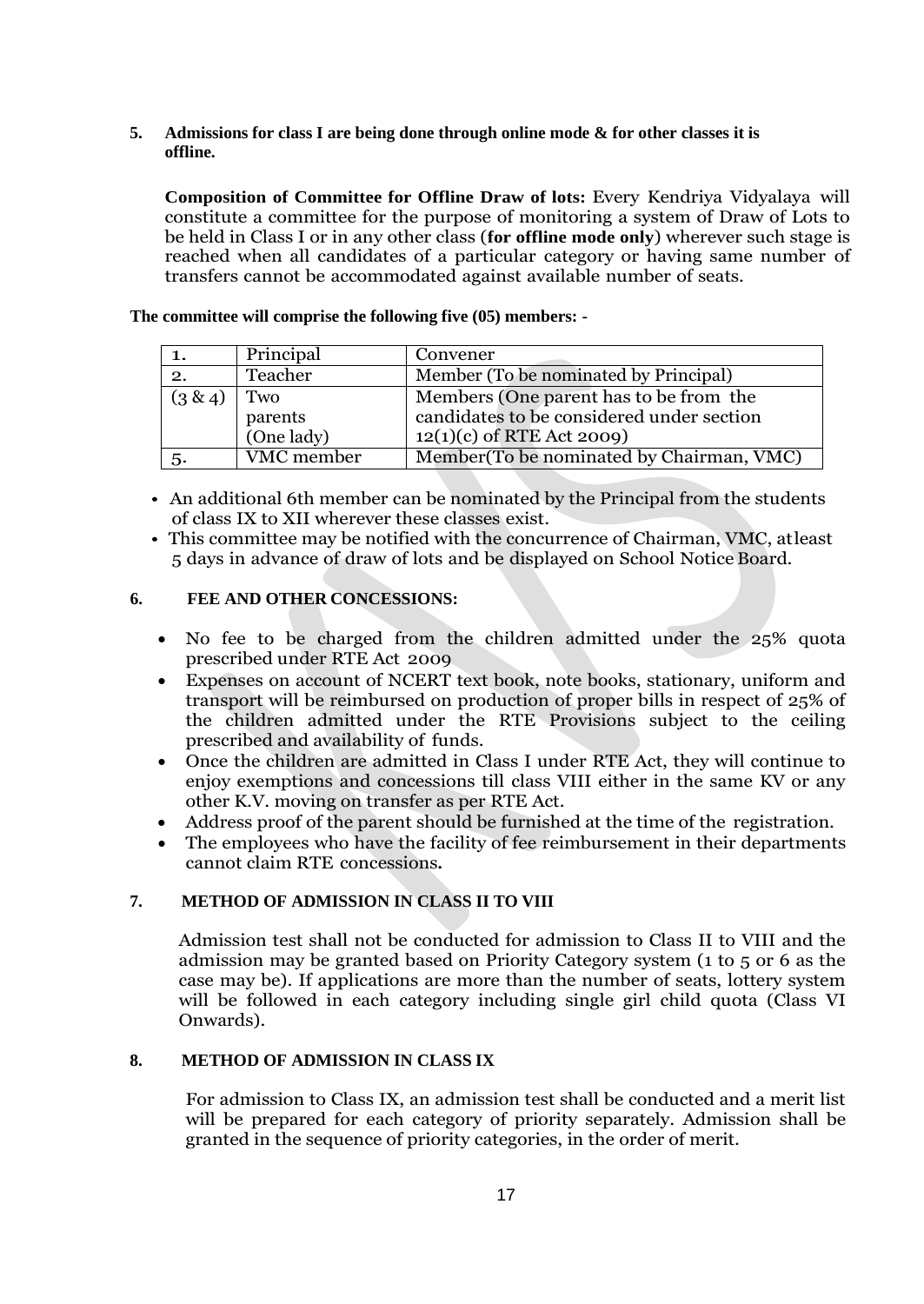**5. Admissions for class I are being done through online mode & for other classes it is offline.**

**Composition of Committee for Offline Draw of lots:** Every Kendriya Vidyalaya will constitute a committee for the purpose of monitoring a system of Draw of Lots to be held in Class I or in any other class (**for offline mode only**) wherever such stage is reached when all candidates of a particular category or having same number of transfers cannot be accommodated against available number of seats.

**The committee will comprise the following five (05) members: -**

| 1.         | Principal  | Convener                                  |
|------------|------------|-------------------------------------------|
| 2.         | Teacher    | Member (To be nominated by Principal)     |
| $(3 \& 4)$ | Two        | Members (One parent has to be from the    |
|            | parents    | candidates to be considered under section |
|            | (One lady) | $12(1)(c)$ of RTE Act 2009)               |
| 5.         | VMC member | Member (To be nominated by Chairman, VMC) |

- An additional 6th member can be nominated by the Principal from the students of class IX to XII wherever these classes exist.
- This committee may be notified with the concurrence of Chairman, VMC, atleast 5 days in advance of draw of lots and be displayed on School NoticeBoard.

# **6. FEE AND OTHER CONCESSIONS:**

- No fee to be charged from the children admitted under the 25% quota prescribed under RTE Act 2009
- Expenses on account of NCERT text book, note books, stationary, uniform and transport will be reimbursed on production of proper bills in respect of 25% of the children admitted under the RTE Provisions subject to the ceiling prescribed and availability of funds.
- Once the children are admitted in Class I under RTE Act, they will continue to enjoy exemptions and concessions till class VIII either in the same KV or any other K.V. moving on transfer as per RTE Act.
- Address proof of the parent should be furnished at the time of the registration.
- The employees who have the facility of fee reimbursement in their departments cannot claim RTE concessions**.**

# **7. METHOD OF ADMISSION IN CLASS II TO VIII**

Admission test shall not be conducted for admission to Class II to VIII and the admission may be granted based on Priority Category system (1 to 5 or 6 as the case may be). If applications are more than the number of seats, lottery system will be followed in each category including single girl child quota (Class VI Onwards).

### **8. METHOD OF ADMISSION IN CLASS IX**

For admission to Class IX, an admission test shall be conducted and a merit list will be prepared for each category of priority separately. Admission shall be granted in the sequence of priority categories, in the order of merit.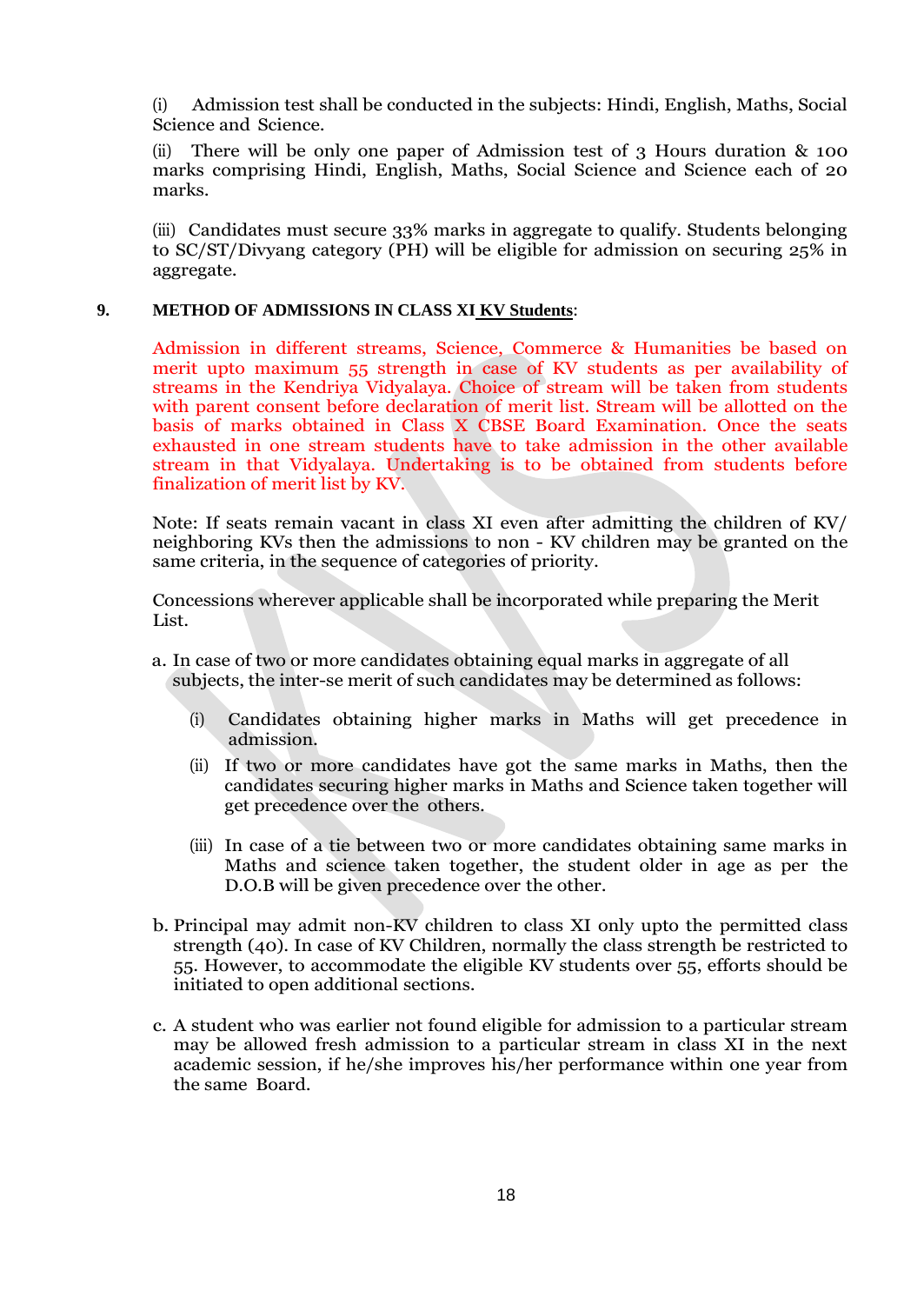(i) Admission test shall be conducted in the subjects: Hindi, English, Maths, Social Science and Science.

There will be only one paper of Admission test of 3 Hours duration  $\&$  100 marks comprising Hindi, English, Maths, Social Science and Science each of 20 marks.

(iii) Candidates must secure 33% marks in aggregate to qualify. Students belonging to SC/ST/Divyang category (PH) will be eligible for admission on securing 25% in aggregate.

### **9. METHOD OF ADMISSIONS IN CLASS XI KV Students**:

Admission in different streams, Science, Commerce & Humanities be based on merit upto maximum 55 strength in case of KV students as per availability of streams in the Kendriya Vidyalaya. Choice of stream will be taken from students with parent consent before declaration of merit list. Stream will be allotted on the basis of marks obtained in Class X CBSE Board Examination. Once the seats exhausted in one stream students have to take admission in the other available stream in that Vidyalaya. Undertaking is to be obtained from students before finalization of merit list by KV.

Note: If seats remain vacant in class XI even after admitting the children of KV/ neighboring KVs then the admissions to non - KV children may be granted on the same criteria, in the sequence of categories of priority.

Concessions wherever applicable shall be incorporated while preparing the Merit List.

- a. In case of two or more candidates obtaining equal marks in aggregate of all subjects, the inter-se merit of such candidates may be determined as follows:
	- (i) Candidates obtaining higher marks in Maths will get precedence in admission.
	- (ii) If two or more candidates have got the same marks in Maths, then the candidates securing higher marks in Maths and Science taken together will get precedence over the others.
	- (iii) In case of a tie between two or more candidates obtaining same marks in Maths and science taken together, the student older in age as per the D.O.B will be given precedence over the other.
- b. Principal may admit non-KV children to class XI only upto the permitted class strength (40). In case of KV Children, normally the class strength be restricted to 55. However, to accommodate the eligible KV students over 55, efforts should be initiated to open additional sections.
- c. A student who was earlier not found eligible for admission to a particular stream may be allowed fresh admission to a particular stream in class XI in the next academic session, if he/she improves his/her performance within one year from the same Board.